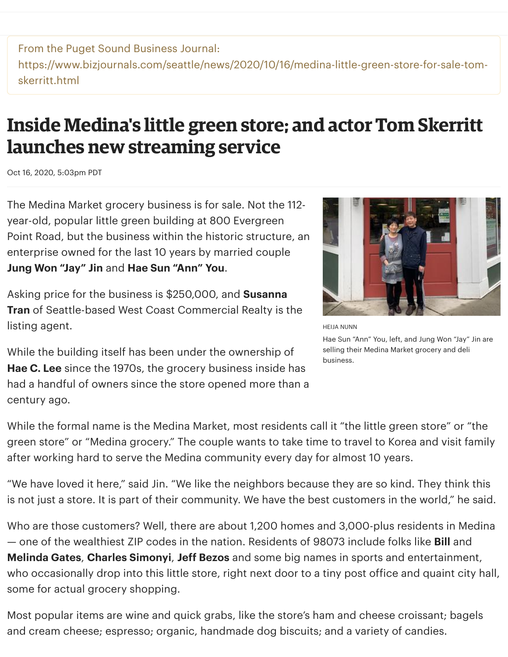From the Puget Sound Business Journal: https://www.bizjournals.com/seattle/news/2020/10/16/medina-little-green-store-for-sale-tomskerritt.html

## **Inside Medina's little green store; and actor Tom Skerritt launches new streaming service**

Oct 16, 2020, 5:03pm PDT

The Medina Market grocery business is for sale. Not the 112 year-old, popular little green building at 800 Evergreen Point Road, but the business within the historic structure, an enterprise owned for the last 10 years by married couple **Jung Won "Jay" Jin** and **Hae Sun "Ann" You**.

Asking price for the business is \$250,000, and **Susanna Tran** of Seattle-based West Coast Commercial Realty is the listing agent.

While the building itself has been under the ownership of **Hae C. Lee** since the 1970s, the grocery business inside has had a handful of owners since the store opened more than a century ago.



HEIJA NUNN

Hae Sun "Ann" You, left, and Jung Won "Jay" Jin are selling their Medina Market grocery and deli business.

While the formal name is the Medina Market, most residents call it "the little green store" or "the green store" or "Medina grocery." The couple wants to take time to travel to Korea and visit family after working hard to serve the Medina community every day for almost 10 years.

"We have loved it here," said Jin. "We like the neighbors because they are so kind. They think this is not just a store. It is part of their community. We have the best customers in the world," he said.

Who are those customers? Well, there are about 1,200 homes and 3,000-plus residents in Medina — one of the wealthiest ZIP codes in the nation. Residents of 98073 include folks like **Bill** and **Melinda Gates**, **Charles Simonyi**, **Jeff Bezos** and some big names in sports and entertainment, who occasionally drop into this little store, right next door to a tiny post office and quaint city hall, some for actual grocery shopping.

Most popular items are wine and quick grabs, like the store's ham and cheese croissant; bagels and cream cheese; espresso; organic, handmade dog biscuits; and a variety of candies.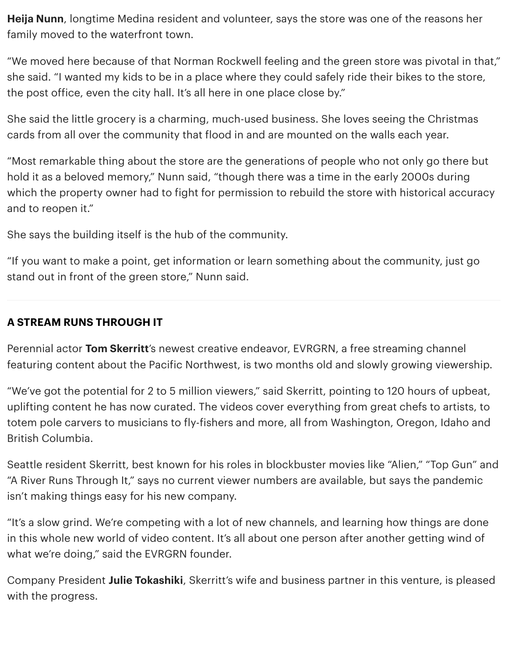**Heija Nunn**, longtime Medina resident and volunteer, says the store was one of the reasons her family moved to the waterfront town.

"We moved here because of that Norman Rockwell feeling and the green store was pivotal in that," she said. "I wanted my kids to be in a place where they could safely ride their bikes to the store, the post office, even the city hall. It's all here in one place close by."

She said the little grocery is a charming, much-used business. She loves seeing the Christmas cards from all over the community that flood in and are mounted on the walls each year.

"Most remarkable thing about the store are the generations of people who not only go there but hold it as a beloved memory," Nunn said, "though there was a time in the early 2000s during which the property owner had to fight for permission to rebuild the store with historical accuracy and to reopen it."

She says the building itself is the hub of the community.

"If you want to make a point, get information or learn something about the community, just go stand out in front of the green store," Nunn said.

## **A STREAM RUNS THROUGH IT**

Perennial actor **Tom Skerritt**'s newest creative endeavor, EVRGRN, a free streaming channel featuring content about the Pacific Northwest, is two months old and slowly growing viewership.

"We've got the potential for 2 to 5 million viewers," said Skerritt, pointing to 120 hours of upbeat, uplifting content he has now curated. The videos cover everything from great chefs to artists, to totem pole carvers to musicians to fly-fishers and more, all from Washington, Oregon, Idaho and British Columbia.

Seattle resident Skerritt, best known for his roles in blockbuster movies like "Alien," "Top Gun" and "A River Runs Through It," says no current viewer numbers are available, but says the pandemic isn't making things easy for his new company.

"It's a slow grind. We're competing with a lot of new channels, and learning how things are done in this whole new world of video content. It's all about one person after another getting wind of what we're doing," said the EVRGRN founder.

Company President **Julie Tokashiki**, Skerritt's wife and business partner in this venture, is pleased with the progress.